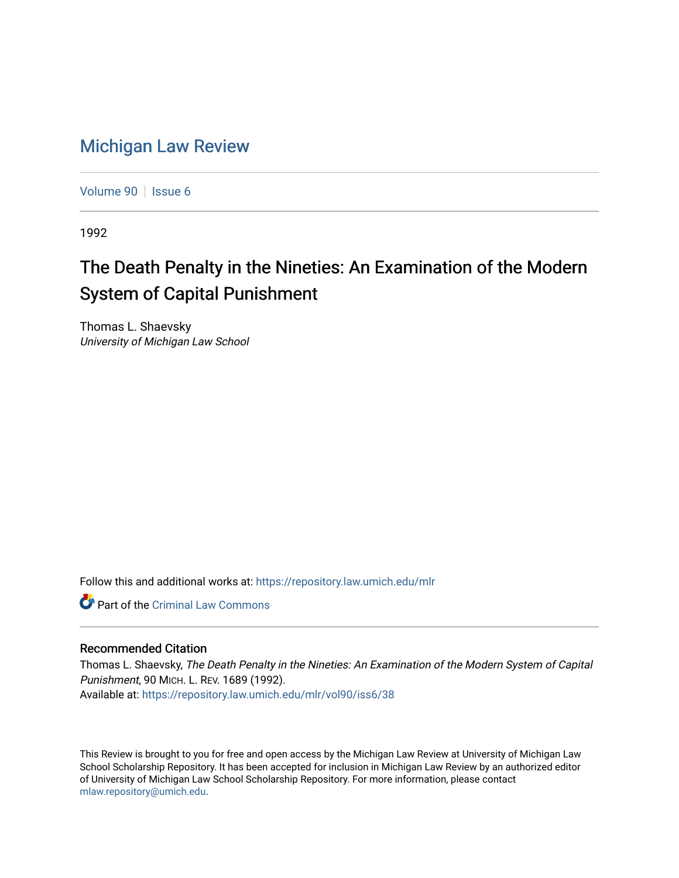## [Michigan Law Review](https://repository.law.umich.edu/mlr)

[Volume 90](https://repository.law.umich.edu/mlr/vol90) | [Issue 6](https://repository.law.umich.edu/mlr/vol90/iss6)

1992

## The Death Penalty in the Nineties: An Examination of the Modern System of Capital Punishment

Thomas L. Shaevsky University of Michigan Law School

Follow this and additional works at: [https://repository.law.umich.edu/mlr](https://repository.law.umich.edu/mlr?utm_source=repository.law.umich.edu%2Fmlr%2Fvol90%2Fiss6%2F38&utm_medium=PDF&utm_campaign=PDFCoverPages) 

**C** Part of the Criminal Law Commons

## Recommended Citation

Thomas L. Shaevsky, The Death Penalty in the Nineties: An Examination of the Modern System of Capital Punishment, 90 MICH. L. REV. 1689 (1992). Available at: [https://repository.law.umich.edu/mlr/vol90/iss6/38](https://repository.law.umich.edu/mlr/vol90/iss6/38?utm_source=repository.law.umich.edu%2Fmlr%2Fvol90%2Fiss6%2F38&utm_medium=PDF&utm_campaign=PDFCoverPages) 

This Review is brought to you for free and open access by the Michigan Law Review at University of Michigan Law School Scholarship Repository. It has been accepted for inclusion in Michigan Law Review by an authorized editor of University of Michigan Law School Scholarship Repository. For more information, please contact [mlaw.repository@umich.edu.](mailto:mlaw.repository@umich.edu)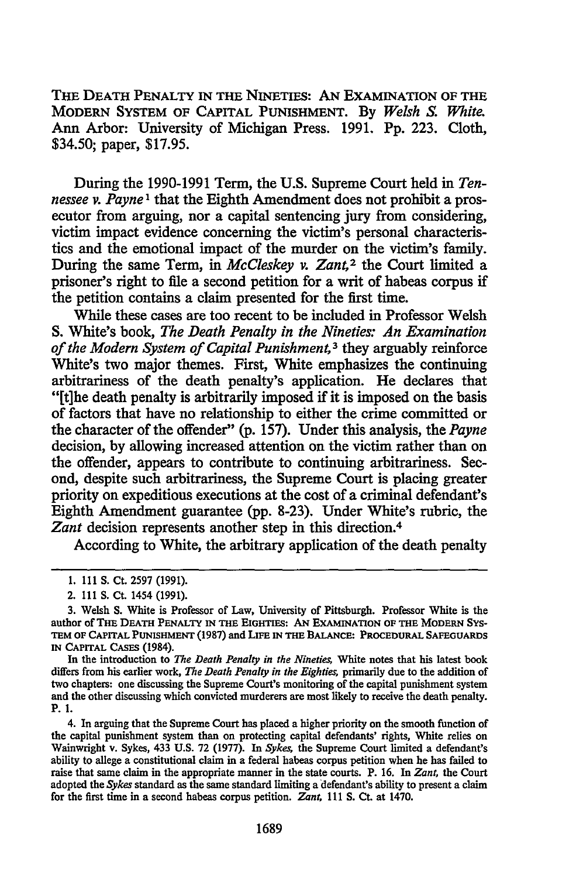THE DEATH PENALTY IN THE NINETIES: AN EXAMINATION OF THE MODERN SYSTEM OF CAPITAL PUNISHMENT. By *Welsh s. White.*  Ann Arbor: University of Michigan Press. 1991. Pp. 223. Cloth, \$34.50; paper, \$17.95.

During the 1990-1991 Term, the U.S. Supreme Court held in *Tennessee v. Payne* 1 that the Eighth Amendment does not prohibit a prosecutor from arguing, nor a capital sentencing jury from considering, victim impact evidence concerning the victim's personal characteristics and the emotional impact of the murder on the victim's family. During the same Term, in *McCleskey v. Zant*,<sup>2</sup> the Court limited a prisoner's right to file a second petition for a writ of habeas corpus if the petition contains a claim presented for the first time.

While these cases are too recent to be included in Professor Welsh S. White's book, *The Death Penalty in the Nineties: An Examination of the Modem System of Capital Punishment,* 3 they arguably reinforce White's two major themes. First, White emphasizes the continuing arbitrariness of the death penalty's application. He declares that "[t]he death penalty is arbitrarily imposed if it is imposed on the basis of factors that have no relationship to either the crime committed or the character of the offender" (p. 157). Under this analysis, the *Payne*  decision, by allowing increased attention on the victim rather than on the offender, appears to contribute to continuing arbitrariness. Second, despite such arbitrariness, the Supreme Court is placing greater priority on expeditious executions at the cost of a criminal defendant's Eighth Amendment guarantee (pp. 8-23). Under White's rubric, the Zant decision represents another step in this direction.<sup>4</sup>

According to White, the arbitrary application of the death penalty

In the introduction to *The Death Penalty in the Nineties,* White notes that his latest book differs from his earlier work, *The Death Penalty in the Eighties,* primarily due to the addition of two chapters: one discussing the Supreme Court's monitoring of the capital punishment system and the other discussing which convicted murderers are most likely to receive the death penalty. P. I.

4. In arguing that the Supreme Court has placed a higher priority on the smooth function of the capital punishment system than on protecting capital defendants' rights, White relies on Wainwright v. Sykes, 433 U.S. 72 (1977). In *Sykes,* the Supreme Court limited a defendant's ability to allege a constitutional claim in a federal habeas corpus petition when he has failed to raise that same claim in the appropriate manner in the state courts. P. 16. In *Zant,* the Court adopted the *Sykes* standard as the same standard limiting a defendant's ability to present a claim for the first time in a second habeas corpus petition. *Zant,* 111 S. Ct. at 1470.

<sup>1. 111</sup> s. Ct. 2597 (1991).

<sup>2. 111</sup> s. Ct. 1454 (1991).

<sup>3.</sup> Welsh S. White is Professor of Law, University of Pittsburgh. Professor White is the author of THE DEATH PENALTY IN THE EIGHTIES: AN EXAMINATION OF THE MODERN SYS-TEM OF CAPITAL PUNISHMENT (1987) and LIFE JN THE BALANCE: PROCEDURAL SAFEGUARDS IN CAPITAL CASES (1984).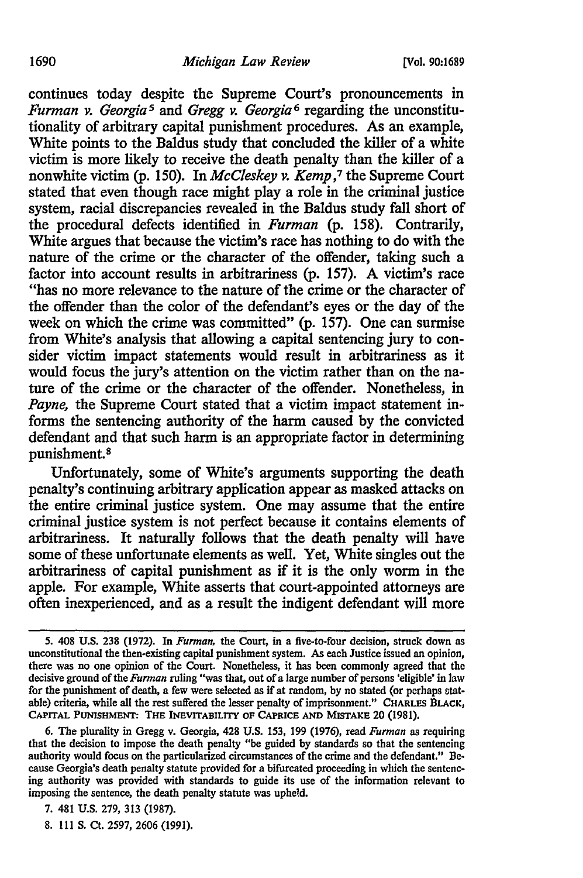## 1690 *Michigan Law Review* [Vol. 90:1689

continues today despite the Supreme Court's pronouncements in *Furman v. Georgia 5* and *Gregg v. Georgia* 6 regarding the unconstitutionality of arbitrary capital punishment procedures. As an example, White points to the Baldus study that concluded the killer of a white victim is more likely to receive the death penalty than the killer of a nonwhite victim (p. 150). *InMcCleskey v. Kemp,*1 the Supreme Court stated that even though race might play a role in the criminal justice system, racial discrepancies revealed in the Baldus study fall short of the procedural defects identified in *Furman* (p. 158). Contrarily, White argues that because the victim's race has nothing to do with the nature of the crime or the character of the offender, taking such a factor into account results in arbitrariness (p. 157). A victim's race "has no more relevance to the nature of the crime or the character of the offender than the color of the defendant's eyes or the day of the week on which the crime was committed" (p. 157). One can surmise from White's analysis that allowing a capital sentencing jury to consider victim impact statements would result in arbitrariness as it would focus the jury's attention on the victim rather than on the nature of the crime or the character of the offender. Nonetheless, in *Payne,* the Supreme Court stated that a victim impact statement informs the sentencing authority of the harm caused by the convicted defendant and that such harm is an appropriate factor in determining punishment.<sup>8</sup>

Unfortunately, some of White's arguments supporting the death penalty's continuing arbitrary application appear as masked attacks on the entire criminal justice system. One may assume that the entire criminal justice system is not perfect because it contains elements of arbitrariness. It naturally follows that the death penalty will have some of these unfortunate elements as well. Yet, White singles out the arbitrariness of capital punishment as if it is the only worm in the apple. For example, White asserts that court-appointed attorneys are often inexperienced, and as a result the indigent defendant will more

<sup>5. 408</sup> U.S. 238 (1972). In *Furman,* the Court, in a five-to-four decision, struck down as unconstitutional the then-existing capital punishment system. As each Justice issued an opinion, there was no one opinion of the Court. Nonetheless, it has been commonly agreed that the decisive ground of the *Furman* ruling "was that, out of a large number of persons 'eligible' in law for the punishment of death, a few were selected as if at random, by no stated (or perhaps statable) criteria, while all the rest suffered the lesser penalty of imprisonment." CHARLES BLACK, CAPITAL PUNISHMENT: THE INEVITABILITY OF CAPRICE AND MISTAKE 20 (1981).

<sup>6.</sup> The plurality in Gregg v. Georgia, 428 U.S. 153, 199 (1976), read *Furman* as requiring that the decision to impose the death penalty "be guided by standards so that the sentencing authority would focus on the particularized circumstances of the crime and the defendant." Because Georgia's death penalty statute provided for a bifurcated proceeding in which the sentencing authority was provided with standards to guide its use of the information relevant to imposing the sentence, the death penalty statute was upheld.

<sup>7. 481</sup> U.S. 279, 313 (1987).

<sup>8. 111</sup> s. Ct. 2597, 2606 (1991).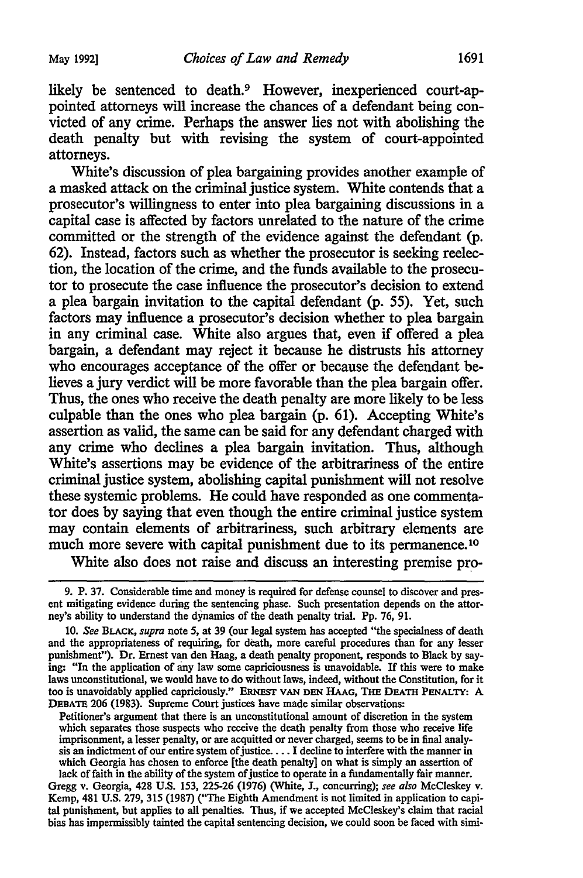likely be sentenced to death.<sup>9</sup> However, inexperienced court-appointed attorneys will increase the chances of a defendant being convicted of any crime. Perhaps the answer lies not with abolishing the death penalty but with revising the system of court-appointed attorneys.

White's discussion of plea bargaining provides another example of a masked attack on the criminal justice system. White contends that a prosecutor's willingness to enter into plea bargaining discussions in a capital case is affected by factors unrelated to the nature of the crime committed or the strength of the evidence against the defendant (p. 62). Instead, factors such as whether the prosecutor is seeking reelection, the location of the crime, and the funds available to the prosecutor to prosecute the case influence the prosecutor's decision to extend a plea bargain invitation to the capital defendant (p. 55). Yet, such factors may influence a prosecutor's decision whether to plea bargain in any criminal case. White also argues that, even if offered a plea bargain, a defendant may reject it because he distrusts his attorney who encourages acceptance of the offer or because the defendant believes a jury verdict will be more favorable than the plea bargain offer. Thus, the ones who receive the death penalty are more likely to be less culpable than the ones who plea bargain (p. 61). Accepting White's assertion as valid, the same can be said for any defendant charged with any crime who declines a plea bargain invitation. Thus, although White's assertions may be evidence of the arbitrariness of the entire criminal justice system, abolishing capital punishment will not resolve these systemic problems. He could have responded as one commentator does by saying that even though the entire criminal justice system may contain elements of arbitrariness, such arbitrary elements are much more severe with capital punishment due to its permanence.10

White also does not raise and discuss an interesting premise pro-

Petitioner's argument that there is an unconstitutional amount of discretion in the system which separates those suspects who receive the death penalty from those who receive life imprisonment, a lesser penalty, or are acquitted or never charged, seems to be in final analysis an indictment of our entire system of justice. . . . I decline to interfere with the manner in which Georgia has chosen to enforce [the death penalty] on what is simply an assertion of lack of faith in the ability of the system of justice to operate in a fundamentally fair manner.

Gregg v. Georgia, 428 U.S. 153, 225-26 (1976) (White, J., concurring); *see also* McCleskey v. Kemp, 481 U.S. 279, 315 (1987) ("The Eighth Amendment is not limited in application to capital punishment, but applies to all penalties. Thus, if we accepted McCleskey's claim that racial bias has impermissibly tainted the capital sentencing decision, we could soon be faced with simi-

<sup>9.</sup> P. 37. Considerable time and money is required for defense counsel to discover and present mitigating evidence during the sentencing phase. Such presentation depends on the attorney's ability to understand the dynamics of the death penalty trial. Pp. 76, 91.

<sup>10.</sup> *See* BLACK, *supra* note 5, at 39 (our legal system has accepted "the specialness of death and the appropriateness of requiring, for death, more careful procedures than for any lesser punishment"). Dr. Ernest van den Haag, a death penalty proponent, responds to Black by saying: "In the application of any law some capriciousness is unavoidable. If this were to make laws unconstitutional, we would have to do without laws, indeed, without the Constitution, for it too is unavoidably applied capriciously." ERNEST VAN DEN HAAG, THE DEATH PENALTY: A DEBATE 206 (1983). Supreme Court justices have made similar observations: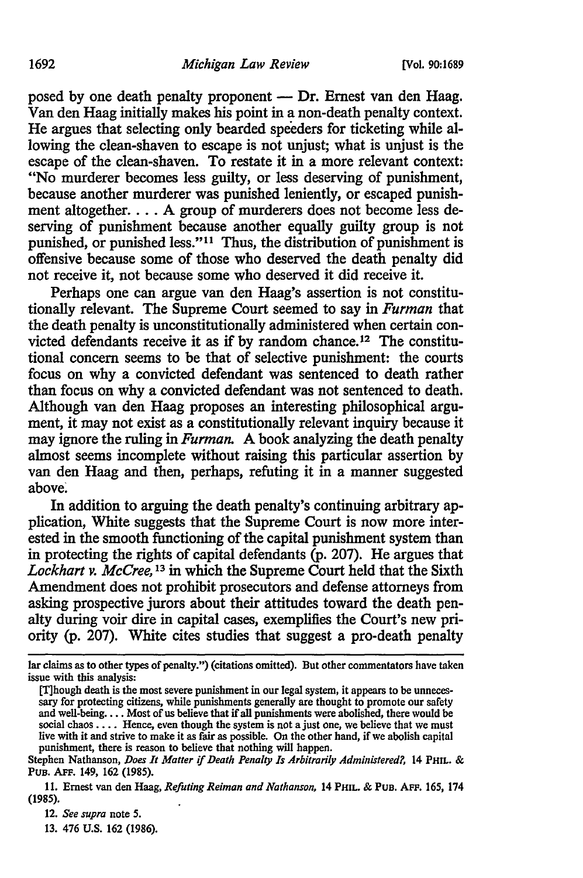posed by one death penalty proponent  $-$  Dr. Ernest van den Haag. Van den Haag initially makes his point in a non-death penalty context. He argues that selecting only bearded speeders for ticketing while allowing the clean-shaven to escape is not unjust; what is unjust is the escape of the clean-shaven. To restate it in a more relevant context: "No murderer becomes less guilty, or less deserving of punishment, because another murderer was punished leniently, or escaped punishment altogether. . . . A group of murderers does not become less deserving of punishment because another equally guilty group is not punished, or punished less."11 Thus, the distribution of punishment is offensive because some of those who deserved the death penalty did not receive it, not because some who deserved it did receive it.

Perhaps one can argue van den Haag's assertion is not constitutionally relevant. The Supreme Court seemed to say in *Furman* that the death penalty is unconstitutionally administered when certain convicted defendants receive it as if by random chance. 12 The constitutional concern seems to be that of selective punishment: the courts focus on why a convicted defendant was sentenced to death rather than focus on why a convicted defendant was not sentenced to death. Although van den Haag proposes an interesting philosophical argument, it may not exist as a constitutionally relevant inquiry because it may ignore the ruling in *Furman.* A book analyzing the death penalty almost seems incomplete without raising this particular assertion by van den Haag and then, perhaps, refuting it in a manner suggested above:

In addition to arguing the death penalty's continuing arbitrary application, White suggests that the Supreme Court is now more interested in the smooth functioning of the capital punishment system than in protecting the rights of capital defendants  $(p. 207)$ . He argues that *Lockhart v. McCree,* 13 in which the Supreme Court held that the Sixth Amendment does not prohibit prosecutors and defense attorneys from asking prospective jurors about their attitudes toward the death penalty during voir dire in capital cases, exemplifies the Court's new priority (p. 207). White cites studies that suggest a pro-death penalty

12. *See supra* note 5.

13. 476 U.S. 162 (1986).

lar claims as to other types of penalty.") (citations omitted). But other commentators have taken issue with this analysis:

<sup>[</sup>T]hough death is the most severe punishment in our legal system, it appears to be unnecessary for protecting citizens, while punishments generally are thought to promote our safety and well-being. . . . Most of us believe that if all punishments were abolished, there would be social chaos . . . . Hence, even though the system is not a just one, we believe that we must live with it and strive to make it as fair as possible. On the other hand, if we abolish capital punishment, there is reason to believe that nothing will happen.

Stephen Nathanson, *Does It Matter* if *Death Penalty Is Arbitrarily Administered?,* 14 PHIL. & PUB. AFF. 149, 162 (1985).

<sup>11.</sup> Ernest van den Haag, *Refuting Reiman and Nathanson,* 14 PHIL. & PUB. AFF. 165, 174 (1985).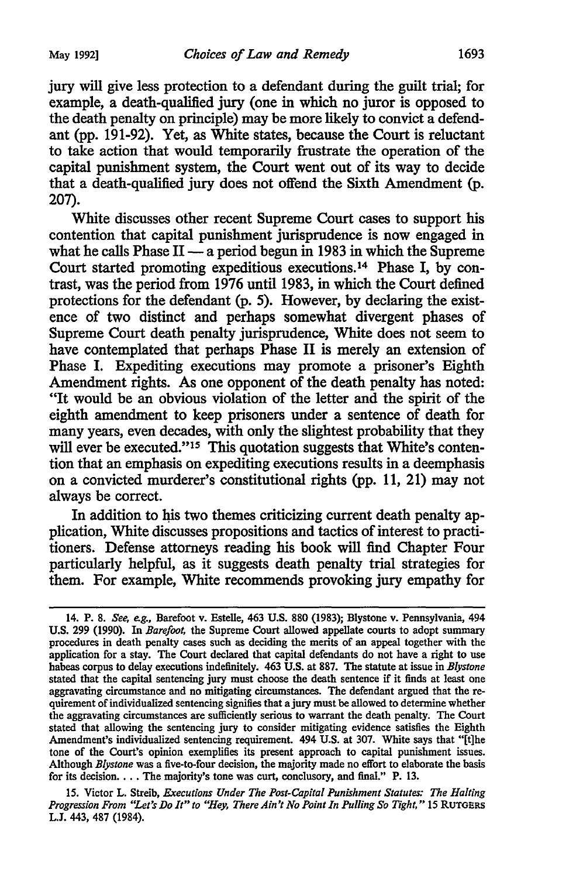jury will give less protection to a defendant during the guilt trial; for example, a death-qualified jury (one in which no juror is opposed to the death penalty on principle) may be more likely to convict a defendant (pp. 191-92). Yet, as White states, because the Court is reluctant to take action that would temporarily frustrate the operation of the capital punishment system, the Court went out of its way to decide that a death-qualified jury does not offend the Sixth Amendment (p. 207).

White discusses other recent Supreme Court cases to support his contention that capital punishment jurisprudence is now engaged in what he calls Phase  $II - a$  period begun in 1983 in which the Supreme Court started promoting expeditious executions. 14 Phase I, by contrast, was the period from 1976 until 1983, in which the Court defined protections for the defendant (p. 5). However, by declaring the existence of two distinct and perhaps somewhat divergent phases of Supreme Court death penalty jurisprudence, White does not seem to have contemplated that perhaps Phase II is merely an extension of Phase I. Expediting executions may promote a prisoner's Eighth Amendment rights. As one opponent of the death penalty has noted: "It would be an obvious violation of the letter and the spirit of the eighth amendment to keep prisoners under a sentence of death for many years, even decades, with only the slightest probability that they will ever be executed."<sup>15</sup> This quotation suggests that White's contention that an emphasis on expediting executions results in a deemphasis on a convicted murderer's constitutional rights (pp. 11, 21) may not always be correct.

In addition to his two themes criticizing current death penalty application, White discusses propositions and tactics of interest to practitioners. Defense attorneys reading his book will find Chapter Four particularly helpful, as it suggests death penalty trial strategies for them. For example, White recommends provoking jury empathy for

15. Victor L. Streib, *Executions Under The Post-Capital Punishment Statutes: The Halting Progression From "Let's Do It" to "Hey, There Ain't No Point In Pulling So Tight,"* 15 RUTGERS L.J. 443, 487 (1984).

<sup>14.</sup> P. 8. *See, e.g.,* Barefoot v. Estelle, 463 U.S. 880 (1983); Blystone v. Pennsylvania, 494 U.S. 299 (1990). In *Barefoot,* the Supreme Court allowed appellate courts to adopt summary procedures in death penalty cases such as deciding the merits of an appeal together with the application for a stay. The Court declared that capital defendants do not have a right to use habeas corpus to delay executions indefinitely. 463 U.S. at 887. The statute at issue in *Blystone*  stated that the capital sentencing jury must choose the death sentence if it finds at least one aggravating circumstance and no mitigating circumstances. The defendant argued that the requirement of individualized sentencing signifies that a jury must be allowed to determine whether the aggravating circumstances are sufficiently serious to warrant the death penalty. The Court stated that allowing the sentencing jury to consider mitigating evidence satisfies the Eighth Amendment's individualized sentencing requirement. 494 U.S. at 307. White says that "[t]he tone of the Court's opinion exemplifies its present approach to capital punishment issues. Although *Blystone* was a five·to-four decision, the majority made no effort to elaborate the basis for its decision. . . . The majority's tone was curt, conclusory, and final." P. 13.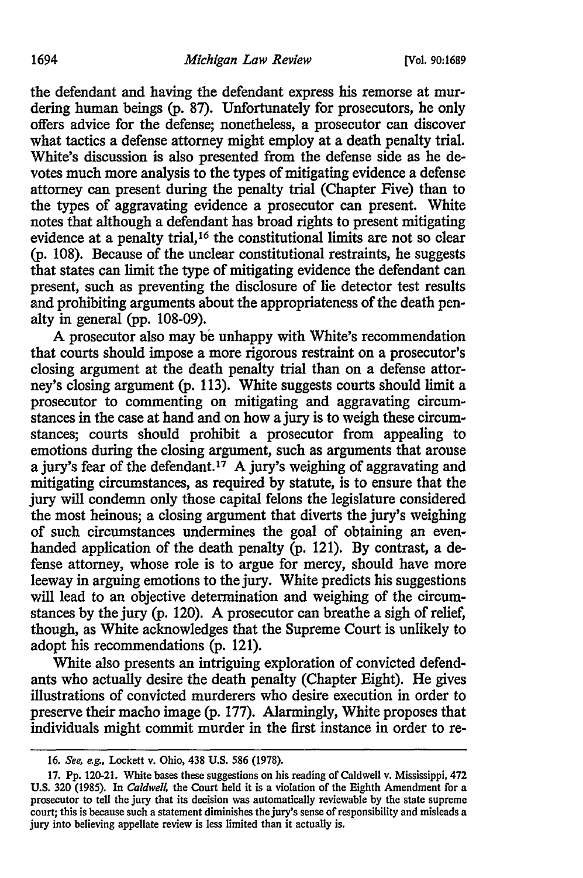the defendant and having the defendant express his remorse at murdering human beings (p. 87). Unfortunately for prosecutors, he only offers advice for the defense; nonetheless, a prosecutor can discover what tactics a defense attorney might employ at a death penalty trial. White's discussion is also presented from the defense side as he devotes much more analysis to the types of mitigating evidence a defense attorney can present during the penalty trial (Chapter Five) than to the types of aggravating evidence a prosecutor can present. White notes that although a defendant has broad rights to present mitigating evidence at a penalty trial, 16 the constitutional limits are not so clear (p. 108). Because of the unclear constitutional restraints, he suggests that states can limit the type of mitigating evidence the defendant can present, such as preventing the disclosure of lie detector test results and prohibiting arguments about the appropriateness of the death penalty in general (pp. 108-09).

A prosecutor also may be unhappy with White's recommendation that courts should impose a more rigorous restraint on a prosecutor's closing argument at the death penalty trial than on a defense attorney's closing argument (p. 113). White suggests courts should limit a prosecutor to commenting on mitigating and aggravating circumstances in the case at hand and on how a jury is to weigh these circumstances; courts should prohibit a prosecutor from appealing to emotions during the closing argument, such as arguments that arouse a jury's fear of the defendant.<sup>17</sup> A jury's weighing of aggravating and mitigating circumstances, as required by statute, is to ensure that the jury will condemn only those capital felons the legislature considered the most heinous; a closing argument that diverts the jury's weighing of such circumstances undermines the goal of obtaining an evenhanded application of the death penalty (p. 121). By contrast, a defense attorney, whose role is to argue for mercy, should have more leeway in arguing emotions to the jury. White predicts his suggestions will lead to an objective determination and weighing of the circumstances by the jury (p. 120). A prosecutor can breathe a sigh of relief, though, as White acknowledges that the Supreme Court is unlikely to adopt his recommendations (p. 121).

White also presents an intriguing exploration of convicted defendants who actually desire the death penalty (Chapter Eight). He gives illustrations of convicted murderers who desire execution in order to preserve their macho image (p. 177). Alarmingly, White proposes that individuals might commit murder in the first instance in order to re-

<sup>16.</sup> *See, e.g.,* Lockett v. Ohio, 438 U.S. 586 (1978).

<sup>17.</sup> Pp. 120-21. White bases these suggestions on his reading of Caldwell v. Mississippi, 472 U.S. 320 (1985). In *Caldwell,* the Court held it is a violation of the Eighth Amendment for a prosecutor to tell the jury that its decision was automatically reviewable by the state supreme court; this is because such a statement diminishes the jury's sense of responsibility and misleads a jury into believing appellate review is less limited than it actually is.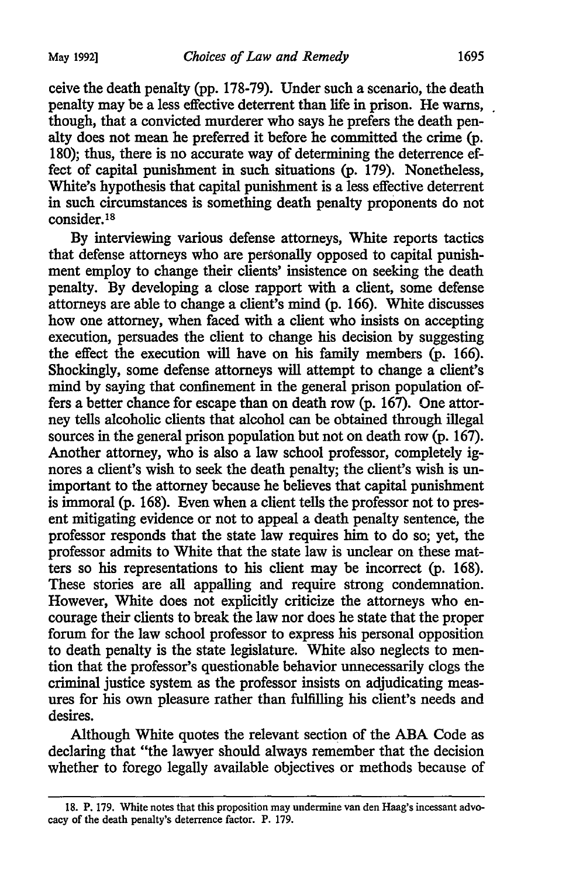ceive the death penalty (pp. 178-79). Under such a scenario, the death penalty may be a less effective deterrent than life in prison. He warns, though, that a convicted murderer who says he prefers the death penalty does not mean he preferred it before he committed the crime (p. 180); thus, there is no accurate way of determining the deterrence effect of capital punishment in such situations (p. 179). Nonetheless, White's hypothesis that capital punishment is a less effective deterrent in such circumstances is something death penalty proponents do not consider. <sup>18</sup>

By interviewing various defense attorneys, White reports tactics that defense attorneys who are personally opposed to capital punishment employ to change their clients' insistence on seeking the death penalty. By developing a close rapport with a client, some defense attorneys are able to change a client's mind (p. 166). White discusses how one attorney, when faced with a client who insists on accepting execution, persuades the client to change his decision by suggesting the effect the execution will have on his family members (p. 166). Shockingly, some defense attorneys will attempt to change a client's mind by saying that confinement in the general prison population offers a better chance for escape than on death row (p. 167). One attorney tells alcoholic clients that alcohol can be obtained through illegal sources in the general prison population but not on death row (p. 167). Another attorney, who is also a law school professor, completely ignores a client's wish to seek the death penalty; the client's wish is unimportant to the attorney because he believes that capital punishment is immoral (p. 168). Even when a client tells the professor not to present mitigating evidence or not to appeal a death penalty sentence, the professor responds that the state law requires him to do so; yet, the professor admits to White that the state law is unclear on these matters so his representations to his client may be incorrect (p. 168). These stories are all appalling and require strong condemnation. However, White does not explicitly criticize the attorneys who encourage their clients to break the law nor does he state that the proper forum for the law school professor to express his personal opposition to death penalty is the state legislature. White also neglects to mention that the professor's questionable behavior unnecessarily clogs the criminal justice system as the professor insists on adjudicating measures for his own pleasure rather than fulfilling his client's needs and desires.

Although White quotes the relevant section of the ABA Code as declaring that "the lawyer should always remember that the decision whether to forego legally available objectives or methods because of

<sup>18.</sup> P. 179. White notes that this proposition may undermine van den Haag's incessant advocacy of the death penalty's deterrence factor. P. 179.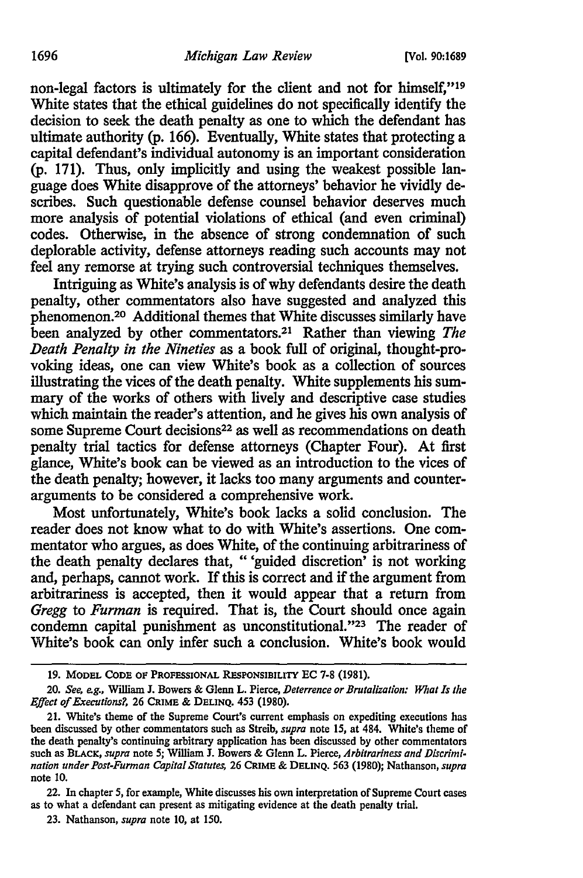non-legal factors is ultimately for the client and not for himself,"<sup>19</sup> White states that the ethical guidelines do not specifically identify the decision to seek the death penalty as one to which the defendant has ultimate authority (p. 166). Eventually, White states that protecting a capital defendant's individual autonomy is an important consideration (p. 171). Thus, only implicitly and using the weakest possible language does White disapprove of the attorneys' behavior he vividly describes. Such questionable defense counsel behavior deserves much more analysis of potential violations of ethical (and even criminal) codes. Otherwise, in the absence of strong condemnation of such deplorable activity, defense attorneys reading such accounts may not feel any remorse at trying such controversial techniques themselves.

Intriguing as White's analysis is of why defendants desire the death penalty, other commentators also have suggested and analyzed this phenomenon. 20 Additional themes that White discusses similarly have been analyzed by other commentators.<sup>21</sup> Rather than viewing *The Death Penalty in the Nineties* as a book full of original, thought-provoking ideas, one can view White's book as a collection of sources illustrating the vices of the death penalty. White supplements his summary of the works of others with lively and descriptive case studies which maintain the reader's attention, and he gives his own analysis of some Supreme Court decisions<sup>22</sup> as well as recommendations on death penalty trial tactics for defense attorneys (Chapter Four). At first glance, White's book can be viewed as an introduction to the vices of the death penalty; however, it lacks too many arguments and counterarguments to be considered a comprehensive work.

Most unfortunately, White's book lacks a solid conclusion. The reader does not know what to do with White's assertions. One commentator who argues, as does White, of the continuing arbitrariness of the death penalty declares that, " 'guided discretion' is not working and, perhaps, cannot work. If this is correct and if the argument from arbitrariness is accepted, then it would appear that a return from *Gregg* to *Furman* is required. That is, the Court should once again condemn capital punishment as unconstitutional."23 The reader of White's book can only infer such a conclusion. White's book would

22. In chapter *5,* for example, White discusses his own interpretation of Supreme Court cases as to what a defendant can present as mitigating evidence at the death penalty trial.

<sup>19.</sup> MODEL CoDE OF PROFESSIONAL REsPONSIBILITY EC 7-8 (1981).

<sup>20.</sup> *See, e.g.,* William J. Bowers & Glenn L. Pierce, *Deterrence or Brutalization: What Is the Effect of Executions?,* 26 CRIME & DELINQ. 453 (1980).

<sup>21.</sup> White's theme of the Supreme Court's current emphasis on expediting executions has been discussed by other commentators such as Streib, *supra* note 15, at 484. White's theme of the death penalty's continuing arbitrary application has been discussed by other commentators such as BLACK, *supra* note *5;* William J. Bowers & Glenn L. Pierce, *Arbitrariness and Discrimination under Post-Furman Capital Statutes,* 26 CRIME & DELJNQ. 563 (1980); Nathanson, *supra*  note 10.

<sup>23.</sup> Nathanson, *supra* note 10, at 150.